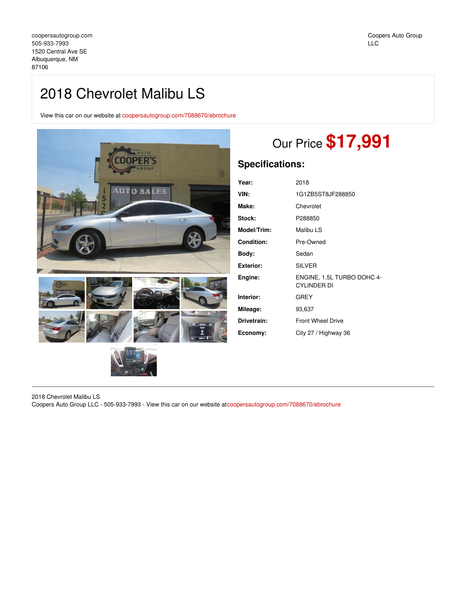## 2018 Chevrolet Malibu LS

View this car on our website at [coopersautogroup.com/7088670/ebrochure](https://coopersautogroup.com/vehicle/7088670/2018-chevrolet-malibu-ls-albuquerque-nm-87106/7088670/ebrochure)



# Our Price **\$17,991**

### **Specifications:**

| Year:              | 2018                                             |
|--------------------|--------------------------------------------------|
| VIN:               | 1G1ZB5ST8JF288850                                |
| Make:              | Chevrolet                                        |
| Stock:             | P288850                                          |
| <b>Model/Trim:</b> | Malibu LS                                        |
| <b>Condition:</b>  | Pre-Owned                                        |
| Body:              | Sedan                                            |
| Exterior:          | <b>SILVER</b>                                    |
| Engine:            | ENGINE, 1.5L TURBO DOHC 4-<br><b>CYLINDER DI</b> |
| Interior:          | GREY                                             |
| Mileage:           | 93,637                                           |
| Drivetrain:        | <b>Front Wheel Drive</b>                         |
| Economy:           | City 27 / Highway 36                             |

2018 Chevrolet Malibu LS

Coopers Auto Group LLC - 505-933-7993 - View this car on our website at[coopersautogroup.com/7088670/ebrochure](https://coopersautogroup.com/vehicle/7088670/2018-chevrolet-malibu-ls-albuquerque-nm-87106/7088670/ebrochure)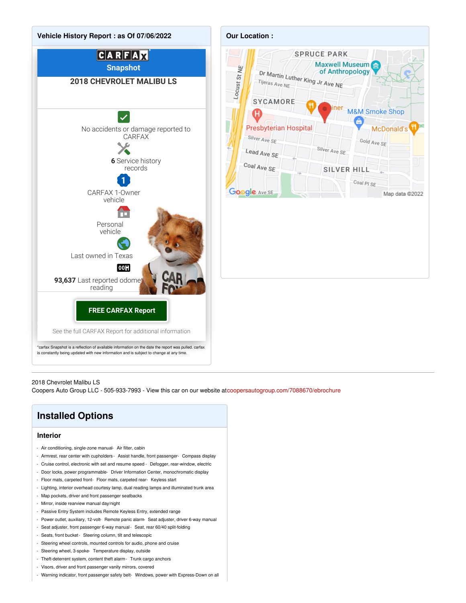

#### 2018 Chevrolet Malibu LS

Coopers Auto Group LLC - 505-933-7993 - View this car on our website at[coopersautogroup.com/7088670/ebrochure](https://coopersautogroup.com/vehicle/7088670/2018-chevrolet-malibu-ls-albuquerque-nm-87106/7088670/ebrochure)

## **Installed Options**

#### **Interior**

- Air conditioning, single-zone manual- Air filter, cabin
- Armrest, rear center with cupholders Assist handle, front passenger- Compass display
- Cruise control, electronic with set and resume speed Defogger, rear-window, electric
- Door locks, power programmable- Driver Information Center, monochromatic display
- Floor mats, carpeted front- Floor mats, carpeted rear- Keyless start
- Lighting, interior overhead courtesy lamp, dual reading lamps and illuminated trunk area
- Map pockets, driver and front passenger seatbacks
- Mirror, inside rearview manual day/night
- Passive Entry System includes Remote Keyless Entry, extended range
- Power outlet, auxiliary, 12-volt- Remote panic alarm- Seat adjuster, driver 6-way manual
- Seat adjuster, front passenger 6-way manual- Seat, rear 60/40 split-folding
- Seats, front bucket- Steering column, tilt and telescopic
- Steering wheel controls, mounted controls for audio, phone and cruise
- Steering wheel, 3-spoke- Temperature display, outside
- Theft-deterrent system, content theft alarm- Trunk cargo anchors
- Visors, driver and front passenger vanity mirrors, covered
- Warning indicator, front passenger safety belt- Windows, power with Express-Down on all